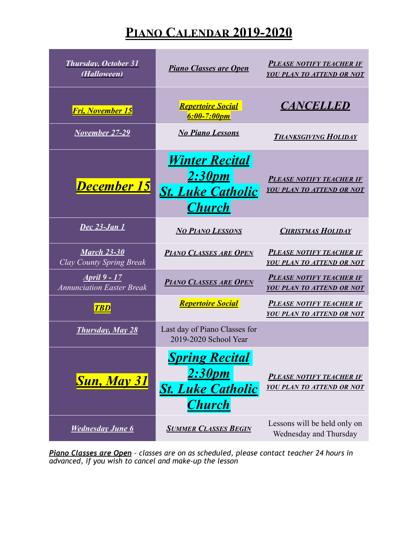## **PIANO CALENDAR 2019-2020**

| <b>Thursday, October 31</b><br>(Halloween)               | <b>Piano Classes are Open</b>                                                       | <b>PLEASE NOTIFY TEACHER IF</b><br>YOU PLAN TO ATTEND OR NOT        |
|----------------------------------------------------------|-------------------------------------------------------------------------------------|---------------------------------------------------------------------|
| <b>Fri, November 15</b>                                  | <b>Repertoire Social</b><br>6:00-7:00pm                                             | <b>CANCELLED</b>                                                    |
| <b>November 27-29</b>                                    | <b>No Piano Lessons</b>                                                             | <b>THANKSGIVING HOLIDAY</b>                                         |
| December 15                                              | <u>Winter Recital</u><br><u>2:30pm</u><br><b>St. Luke Catholic</b><br><b>Church</b> | <b>PLEASE NOTIFY TEACHER IF</b><br>YOU PLAN TO ATTEND OR NOT        |
| <b>Dec 23-Jan 1</b>                                      | <b>NO PIANO LESSONS</b>                                                             | <b>CHRISTMAS HOLIDAY</b>                                            |
| <b>March 23-30</b><br><b>Clay County Spring Break</b>    | <b>PIANO CLASSES ARE OPEN</b>                                                       | <b>PLEASE NOTIFY TEACHER IF</b><br>YOU PLAN TO ATTEND OR NOT        |
| <u> April 9 - 17</u><br><b>Annunciation Easter Break</b> | <b>PIANO CLASSES ARE OPEN</b>                                                       | <b>PLEASE NOTIFY TEACHER IF</b><br><b>YOU PLAN TO ATTEND OR NOT</b> |
| <b>TBD</b>                                               | <b>Repertoire Social</b>                                                            | <b>PLEASE NOTIFY TEACHER IF</b><br>YOU PLAN TO ATTEND OR NOT        |
| <b>Thursday, May 28</b>                                  | Last day of Piano Classes for<br>2019-2020 School Year                              |                                                                     |
| <b>Sun, May 31</b>                                       | <b>Spring Recital</b><br>2:30pm<br><b>St. Luke Catholic</b><br><b>Church</b>        | <b>PLEASE NOTIFY TEACHER IF</b><br><b>YOU PLAN TO ATTEND OR NOT</b> |
| <b>Wednesday June 6</b>                                  | <b>SUMMER CLASSES BEGIN</b>                                                         | Lessons will be held only on<br>Wednesday and Thursday              |

*Piano Classes are Open – classes are on as scheduled, please contact teacher 24 hours in advanced, if you wish to cancel and make-up the lesson*